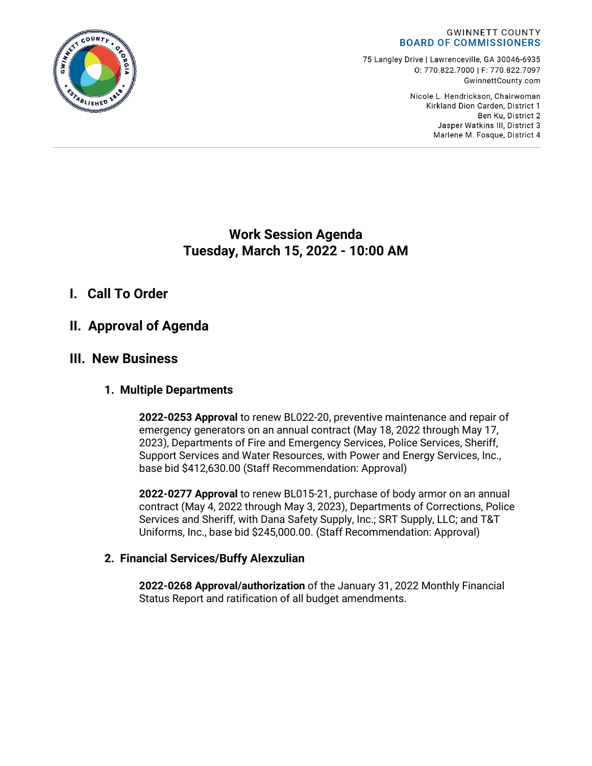

75 Langley Drive | Lawrenceville, GA 30046-6935 0:770.822.7000 | F: 770.822.7097 GwinnettCounty.com

> Nicole L. Hendrickson, Chairwoman Kirkland Dion Carden, District 1 Ben Ku. District 2 Jasper Watkins III, District 3 Marlene M. Fosque, District 4

## **Work Session Agenda Tuesday, March 15, 2022 - 10:00 AM**

## **I. Call To Order**

# **II. Approval of Agenda**

## **III. New Business**

### **1. Multiple Departments**

**2022-0253 Approval** to renew BL022-20, preventive maintenance and repair of emergency generators on an annual contract (May 18, 2022 through May 17, 2023), Departments of Fire and Emergency Services, Police Services, Sheriff, Support Services and Water Resources, with Power and Energy Services, Inc., base bid \$412,630.00 (Staff Recommendation: Approval)

**2022-0277 Approval** to renew BL015-21, purchase of body armor on an annual contract (May 4, 2022 through May 3, 2023), Departments of Corrections, Police Services and Sheriff, with Dana Safety Supply, Inc.; SRT Supply, LLC; and T&T Uniforms, Inc., base bid \$245,000.00. (Staff Recommendation: Approval)

### **2. Financial Services/Buffy Alexzulian**

**2022-0268 Approval/authorization** of the January 31, 2022 Monthly Financial Status Report and ratification of all budget amendments.

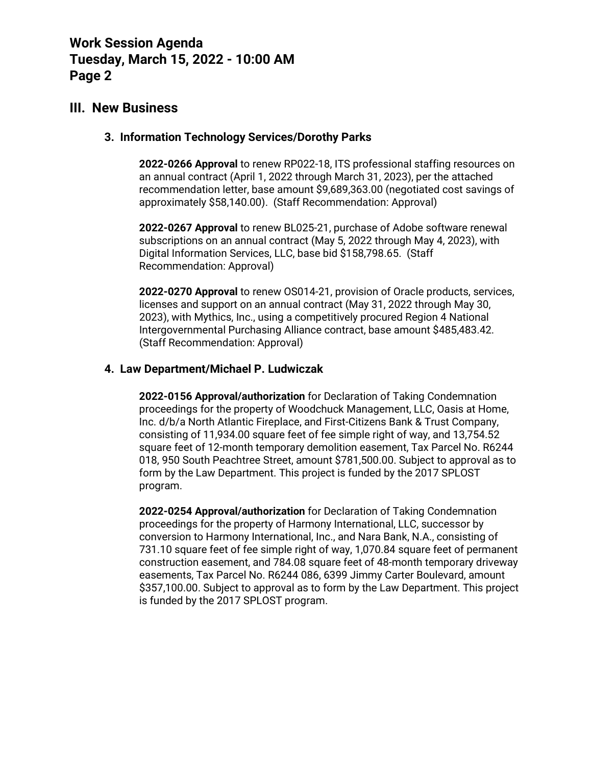### **III. New Business**

#### **3. Information Technology Services/Dorothy Parks**

**2022-0266 Approval** to renew RP022-18, ITS professional staffing resources on an annual contract (April 1, 2022 through March 31, 2023), per the attached recommendation letter, base amount \$9,689,363.00 (negotiated cost savings of approximately \$58,140.00). (Staff Recommendation: Approval)

**2022-0267 Approval** to renew BL025-21, purchase of Adobe software renewal subscriptions on an annual contract (May 5, 2022 through May 4, 2023), with Digital Information Services, LLC, base bid \$158,798.65. (Staff Recommendation: Approval)

**2022-0270 Approval** to renew OS014-21, provision of Oracle products, services, licenses and support on an annual contract (May 31, 2022 through May 30, 2023), with Mythics, Inc., using a competitively procured Region 4 National Intergovernmental Purchasing Alliance contract, base amount \$485,483.42. (Staff Recommendation: Approval)

#### **4. Law Department/Michael P. Ludwiczak**

**2022-0156 Approval/authorization** for Declaration of Taking Condemnation proceedings for the property of Woodchuck Management, LLC, Oasis at Home, Inc. d/b/a North Atlantic Fireplace, and First-Citizens Bank & Trust Company, consisting of 11,934.00 square feet of fee simple right of way, and 13,754.52 square feet of 12-month temporary demolition easement, Tax Parcel No. R6244 018, 950 South Peachtree Street, amount \$781,500.00. Subject to approval as to form by the Law Department. This project is funded by the 2017 SPLOST program.

**2022-0254 Approval/authorization** for Declaration of Taking Condemnation proceedings for the property of Harmony International, LLC, successor by conversion to Harmony International, Inc., and Nara Bank, N.A., consisting of 731.10 square feet of fee simple right of way, 1,070.84 square feet of permanent construction easement, and 784.08 square feet of 48-month temporary driveway easements, Tax Parcel No. R6244 086, 6399 Jimmy Carter Boulevard, amount \$357,100.00. Subject to approval as to form by the Law Department. This project is funded by the 2017 SPLOST program.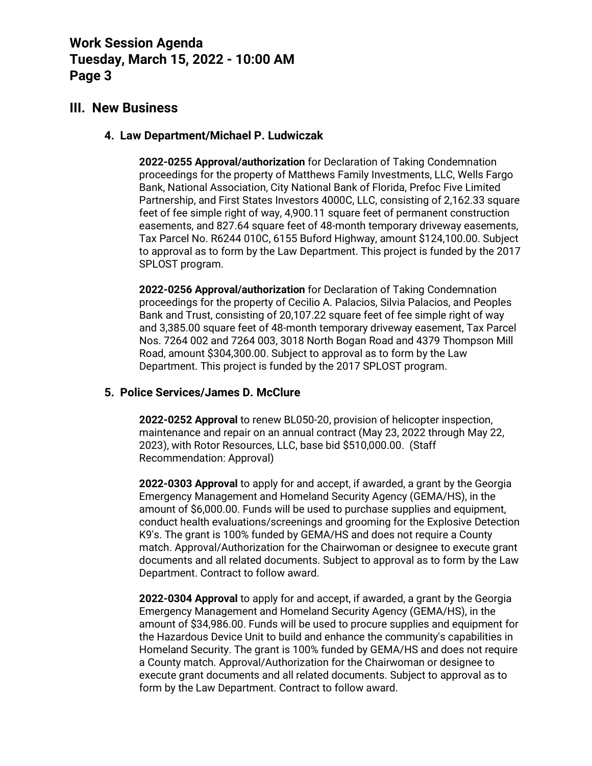### **III. New Business**

#### **4. Law Department/Michael P. Ludwiczak**

**2022-0255 Approval/authorization** for Declaration of Taking Condemnation proceedings for the property of Matthews Family Investments, LLC, Wells Fargo Bank, National Association, City National Bank of Florida, Prefoc Five Limited Partnership, and First States Investors 4000C, LLC, consisting of 2,162.33 square feet of fee simple right of way, 4,900.11 square feet of permanent construction easements, and 827.64 square feet of 48-month temporary driveway easements, Tax Parcel No. R6244 010C, 6155 Buford Highway, amount \$124,100.00. Subject to approval as to form by the Law Department. This project is funded by the 2017 SPLOST program.

**2022-0256 Approval/authorization** for Declaration of Taking Condemnation proceedings for the property of Cecilio A. Palacios, Silvia Palacios, and Peoples Bank and Trust, consisting of 20,107.22 square feet of fee simple right of way and 3,385.00 square feet of 48-month temporary driveway easement, Tax Parcel Nos. 7264 002 and 7264 003, 3018 North Bogan Road and 4379 Thompson Mill Road, amount \$304,300.00. Subject to approval as to form by the Law Department. This project is funded by the 2017 SPLOST program.

#### **5. Police Services/James D. McClure**

**2022-0252 Approval** to renew BL050-20, provision of helicopter inspection, maintenance and repair on an annual contract (May 23, 2022 through May 22, 2023), with Rotor Resources, LLC, base bid \$510,000.00. (Staff Recommendation: Approval)

**2022-0303 Approval** to apply for and accept, if awarded, a grant by the Georgia Emergency Management and Homeland Security Agency (GEMA/HS), in the amount of \$6,000.00. Funds will be used to purchase supplies and equipment, conduct health evaluations/screenings and grooming for the Explosive Detection K9's. The grant is 100% funded by GEMA/HS and does not require a County match. Approval/Authorization for the Chairwoman or designee to execute grant documents and all related documents. Subject to approval as to form by the Law Department. Contract to follow award.

**2022-0304 Approval** to apply for and accept, if awarded, a grant by the Georgia Emergency Management and Homeland Security Agency (GEMA/HS), in the amount of \$34,986.00. Funds will be used to procure supplies and equipment for the Hazardous Device Unit to build and enhance the community's capabilities in Homeland Security. The grant is 100% funded by GEMA/HS and does not require a County match. Approval/Authorization for the Chairwoman or designee to execute grant documents and all related documents. Subject to approval as to form by the Law Department. Contract to follow award.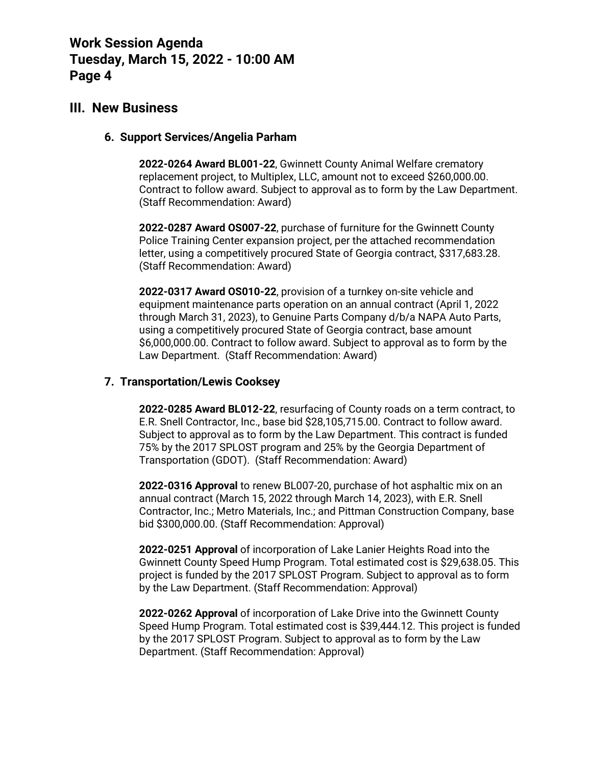### **III. New Business**

#### **6. Support Services/Angelia Parham**

**2022-0264 Award BL001-22**, Gwinnett County Animal Welfare crematory replacement project, to Multiplex, LLC, amount not to exceed \$260,000.00. Contract to follow award. Subject to approval as to form by the Law Department. (Staff Recommendation: Award)

**2022-0287 Award OS007-22**, purchase of furniture for the Gwinnett County Police Training Center expansion project, per the attached recommendation letter, using a competitively procured State of Georgia contract, \$317,683.28. (Staff Recommendation: Award)

**2022-0317 Award OS010-22**, provision of a turnkey on-site vehicle and equipment maintenance parts operation on an annual contract (April 1, 2022 through March 31, 2023), to Genuine Parts Company d/b/a NAPA Auto Parts, using a competitively procured State of Georgia contract, base amount \$6,000,000.00. Contract to follow award. Subject to approval as to form by the Law Department. (Staff Recommendation: Award)

#### **7. Transportation/Lewis Cooksey**

**2022-0285 Award BL012-22**, resurfacing of County roads on a term contract, to E.R. Snell Contractor, Inc., base bid \$28,105,715.00. Contract to follow award. Subject to approval as to form by the Law Department. This contract is funded 75% by the 2017 SPLOST program and 25% by the Georgia Department of Transportation (GDOT). (Staff Recommendation: Award)

**2022-0316 Approval** to renew BL007-20, purchase of hot asphaltic mix on an annual contract (March 15, 2022 through March 14, 2023), with E.R. Snell Contractor, Inc.; Metro Materials, Inc.; and Pittman Construction Company, base bid \$300,000.00. (Staff Recommendation: Approval)

**2022-0251 Approval** of incorporation of Lake Lanier Heights Road into the Gwinnett County Speed Hump Program. Total estimated cost is \$29,638.05. This project is funded by the 2017 SPLOST Program. Subject to approval as to form by the Law Department. (Staff Recommendation: Approval)

**2022-0262 Approval** of incorporation of Lake Drive into the Gwinnett County Speed Hump Program. Total estimated cost is \$39,444.12. This project is funded by the 2017 SPLOST Program. Subject to approval as to form by the Law Department. (Staff Recommendation: Approval)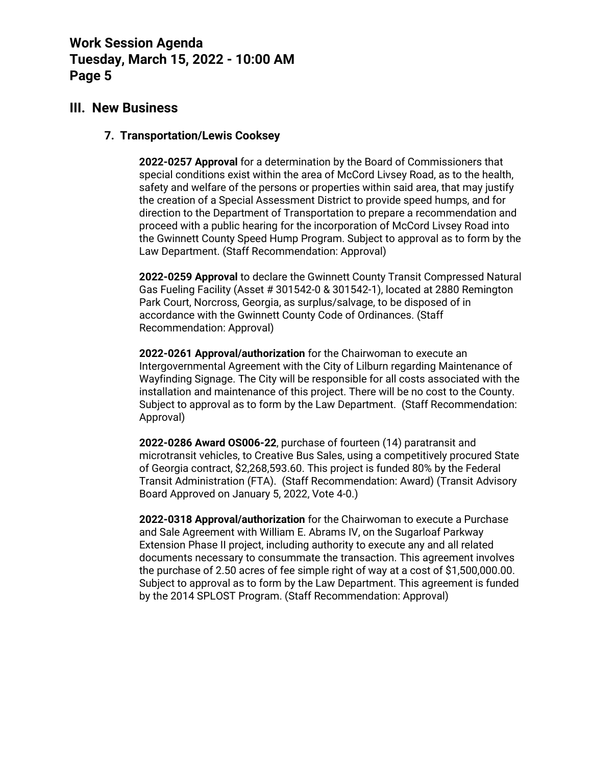### **III. New Business**

#### **7. Transportation/Lewis Cooksey**

**2022-0257 Approval** for a determination by the Board of Commissioners that special conditions exist within the area of McCord Livsey Road, as to the health, safety and welfare of the persons or properties within said area, that may justify the creation of a Special Assessment District to provide speed humps, and for direction to the Department of Transportation to prepare a recommendation and proceed with a public hearing for the incorporation of McCord Livsey Road into the Gwinnett County Speed Hump Program. Subject to approval as to form by the Law Department. (Staff Recommendation: Approval)

**2022-0259 Approval** to declare the Gwinnett County Transit Compressed Natural Gas Fueling Facility (Asset # 301542-0 & 301542-1), located at 2880 Remington Park Court, Norcross, Georgia, as surplus/salvage, to be disposed of in accordance with the Gwinnett County Code of Ordinances. (Staff Recommendation: Approval)

**2022-0261 Approval/authorization** for the Chairwoman to execute an Intergovernmental Agreement with the City of Lilburn regarding Maintenance of Wayfinding Signage. The City will be responsible for all costs associated with the installation and maintenance of this project. There will be no cost to the County. Subject to approval as to form by the Law Department. (Staff Recommendation: Approval)

**2022-0286 Award OS006-22**, purchase of fourteen (14) paratransit and microtransit vehicles, to Creative Bus Sales, using a competitively procured State of Georgia contract, \$2,268,593.60. This project is funded 80% by the Federal Transit Administration (FTA). (Staff Recommendation: Award) (Transit Advisory Board Approved on January 5, 2022, Vote 4-0.)

**2022-0318 Approval/authorization** for the Chairwoman to execute a Purchase and Sale Agreement with William E. Abrams IV, on the Sugarloaf Parkway Extension Phase II project, including authority to execute any and all related documents necessary to consummate the transaction. This agreement involves the purchase of 2.50 acres of fee simple right of way at a cost of \$1,500,000.00. Subject to approval as to form by the Law Department. This agreement is funded by the 2014 SPLOST Program. (Staff Recommendation: Approval)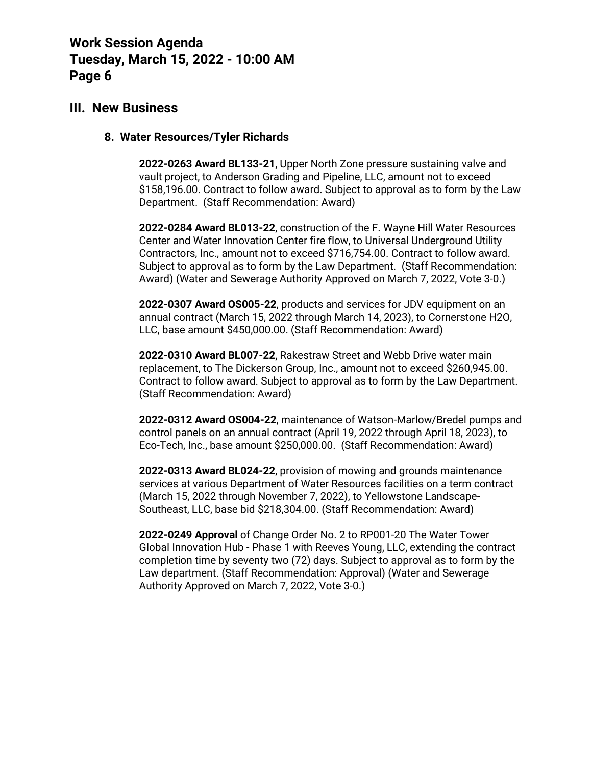#### **III. New Business**

#### **8. Water Resources/Tyler Richards**

**2022-0263 Award BL133-21**, Upper North Zone pressure sustaining valve and vault project, to Anderson Grading and Pipeline, LLC, amount not to exceed \$158,196.00. Contract to follow award. Subject to approval as to form by the Law Department. (Staff Recommendation: Award)

**2022-0284 Award BL013-22**, construction of the F. Wayne Hill Water Resources Center and Water Innovation Center fire flow, to Universal Underground Utility Contractors, Inc., amount not to exceed \$716,754.00. Contract to follow award. Subject to approval as to form by the Law Department. (Staff Recommendation: Award) (Water and Sewerage Authority Approved on March 7, 2022, Vote 3-0.)

**2022-0307 Award OS005-22**, products and services for JDV equipment on an annual contract (March 15, 2022 through March 14, 2023), to Cornerstone H2O, LLC, base amount \$450,000.00. (Staff Recommendation: Award)

**2022-0310 Award BL007-22**, Rakestraw Street and Webb Drive water main replacement, to The Dickerson Group, Inc., amount not to exceed \$260,945.00. Contract to follow award. Subject to approval as to form by the Law Department. (Staff Recommendation: Award)

**2022-0312 Award OS004-22**, maintenance of Watson-Marlow/Bredel pumps and control panels on an annual contract (April 19, 2022 through April 18, 2023), to Eco-Tech, Inc., base amount \$250,000.00. (Staff Recommendation: Award)

**2022-0313 Award BL024-22**, provision of mowing and grounds maintenance services at various Department of Water Resources facilities on a term contract (March 15, 2022 through November 7, 2022), to Yellowstone Landscape-Southeast, LLC, base bid \$218,304.00. (Staff Recommendation: Award)

**2022-0249 Approval** of Change Order No. 2 to RP001-20 The Water Tower Global Innovation Hub - Phase 1 with Reeves Young, LLC, extending the contract completion time by seventy two (72) days. Subject to approval as to form by the Law department. (Staff Recommendation: Approval) (Water and Sewerage Authority Approved on March 7, 2022, Vote 3-0.)